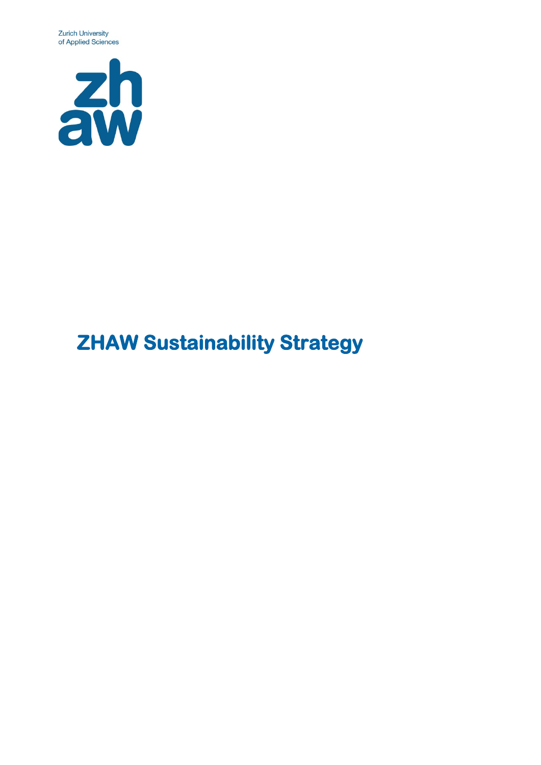**Zurich University** of Applied Sciences



# **ZHAW Sustainability Strategy**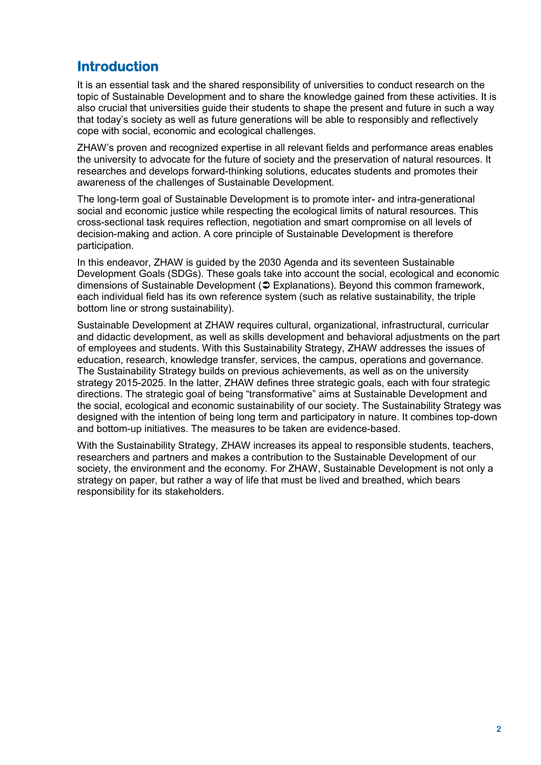# **Introduction**

It is an essential task and the shared responsibility of universities to conduct research on the topic of Sustainable Development and to share the knowledge gained from these activities. It is also crucial that universities guide their students to shape the present and future in such a way that today's society as well as future generations will be able to responsibly and reflectively cope with social, economic and ecological challenges.

ZHAW's proven and recognized expertise in all relevant fields and performance areas enables the university to advocate for the future of society and the preservation of natural resources. It researches and develops forward-thinking solutions, educates students and promotes their awareness of the challenges of Sustainable Development.

The long-term goal of Sustainable Development is to promote inter- and intra-generational social and economic justice while respecting the ecological limits of natural resources. This cross-sectional task requires reflection, negotiation and smart compromise on all levels of decision-making and action. A core principle of Sustainable Development is therefore participation.

In this endeavor, ZHAW is guided by the 2030 Agenda and its seventeen Sustainable Development Goals (SDGs). These goals take into account the social, ecological and economic dimensions of Sustainable Development ( [Explanations\)](#page-8-0). Beyond this common framework, each individual field has its own reference system (such as relative sustainability, the triple bottom line or strong sustainability).

Sustainable Development at ZHAW requires cultural, organizational, infrastructural, curricular and didactic development, as well as skills development and behavioral adjustments on the part of employees and students. With this Sustainability Strategy, ZHAW addresses the issues of education, research, knowledge transfer, services, the campus, operations and governance. The Sustainability Strategy builds on previous achievements, as well as on the university strategy 2015-2025. In the latter, ZHAW defines three strategic goals, each with four strategic directions. The strategic goal of being "transformative" aims at Sustainable Development and the social, ecological and economic sustainability of our society. The Sustainability Strategy was designed with the intention of being long term and participatory in nature. It combines top-down and bottom-up initiatives. The measures to be taken are evidence-based.

With the Sustainability Strategy, ZHAW increases its appeal to responsible students, teachers, researchers and partners and makes a contribution to the Sustainable Development of our society, the environment and the economy. For ZHAW, Sustainable Development is not only a strategy on paper, but rather a way of life that must be lived and breathed, which bears responsibility for its stakeholders.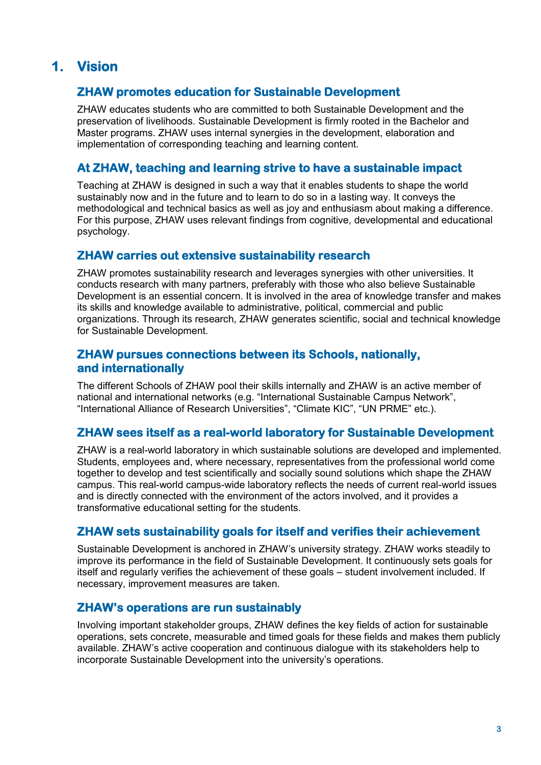# **1. Vision**

#### **ZHAW promotes education for Sustainable Development**

ZHAW educates students who are committed to both Sustainable Development and the preservation of livelihoods. Sustainable Development is firmly rooted in the Bachelor and Master programs. ZHAW uses internal synergies in the development, elaboration and implementation of corresponding teaching and learning content.

#### **At ZHAW, teaching and learning strive to have a sustainable impact**

Teaching at ZHAW is designed in such a way that it enables students to shape the world sustainably now and in the future and to learn to do so in a lasting way. It conveys the methodological and technical basics as well as joy and enthusiasm about making a difference. For this purpose, ZHAW uses relevant findings from cognitive, developmental and educational psychology.

#### **ZHAW carries out extensive sustainability research**

ZHAW promotes sustainability research and leverages synergies with other universities. It conducts research with many partners, preferably with those who also believe Sustainable Development is an essential concern. It is involved in the area of knowledge transfer and makes its skills and knowledge available to administrative, political, commercial and public organizations. Through its research, ZHAW generates scientific, social and technical knowledge for Sustainable Development.

#### **ZHAW pursues connections between its Schools, nationally, and internationally**

The different Schools of ZHAW pool their skills internally and ZHAW is an active member of national and international networks (e.g. "International Sustainable Campus Network", "International Alliance of Research Universities", "Climate KIC", "UN PRME" etc.).

#### **ZHAW sees itself as a real-world laboratory for Sustainable Development**

ZHAW is a real-world laboratory in which sustainable solutions are developed and implemented. Students, employees and, where necessary, representatives from the professional world come together to develop and test scientifically and socially sound solutions which shape the ZHAW campus. This real-world campus-wide laboratory reflects the needs of current real-world issues and is directly connected with the environment of the actors involved, and it provides a transformative educational setting for the students.

#### **ZHAW sets sustainability goals for itself and verifies their achievement**

Sustainable Development is anchored in ZHAW's university strategy. ZHAW works steadily to improve its performance in the field of Sustainable Development. It continuously sets goals for itself and regularly verifies the achievement of these goals – student involvement included. If necessary, improvement measures are taken.

#### **ZHAW's operations are run sustainably**

Involving important stakeholder groups, ZHAW defines the key fields of action for sustainable operations, sets concrete, measurable and timed goals for these fields and makes them publicly available. ZHAW's active cooperation and continuous dialogue with its stakeholders help to incorporate Sustainable Development into the university's operations.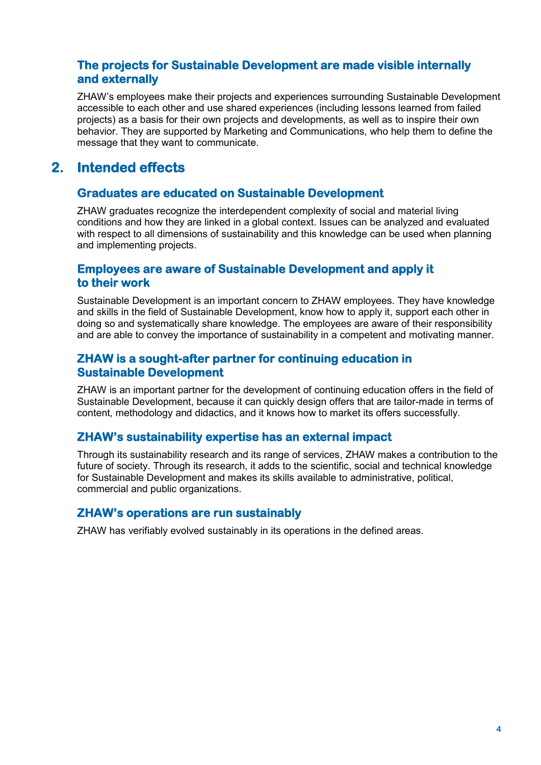#### **The projects for Sustainable Development are made visible internally and externally**

ZHAW's employees make their projects and experiences surrounding Sustainable Development accessible to each other and use shared experiences (including lessons learned from failed projects) as a basis for their own projects and developments, as well as to inspire their own behavior. They are supported by Marketing and Communications, who help them to define the message that they want to communicate.

# **2. Intended effects**

#### **Graduates are educated on Sustainable Development**

ZHAW graduates recognize the interdependent complexity of social and material living conditions and how they are linked in a global context. Issues can be analyzed and evaluated with respect to all dimensions of sustainability and this knowledge can be used when planning and implementing projects.

#### **Employees are aware of Sustainable Development and apply it to their work**

Sustainable Development is an important concern to ZHAW employees. They have knowledge and skills in the field of Sustainable Development, know how to apply it, support each other in doing so and systematically share knowledge. The employees are aware of their responsibility and are able to convey the importance of sustainability in a competent and motivating manner.

#### **ZHAW is a sought-after partner for continuing education in Sustainable Development**

ZHAW is an important partner for the development of continuing education offers in the field of Sustainable Development, because it can quickly design offers that are tailor-made in terms of content, methodology and didactics, and it knows how to market its offers successfully.

#### **ZHAW's sustainability expertise has an external impact**

Through its sustainability research and its range of services, ZHAW makes a contribution to the future of society. Through its research, it adds to the scientific, social and technical knowledge for Sustainable Development and makes its skills available to administrative, political, commercial and public organizations.

#### **ZHAW's operations are run sustainably**

ZHAW has verifiably evolved sustainably in its operations in the defined areas.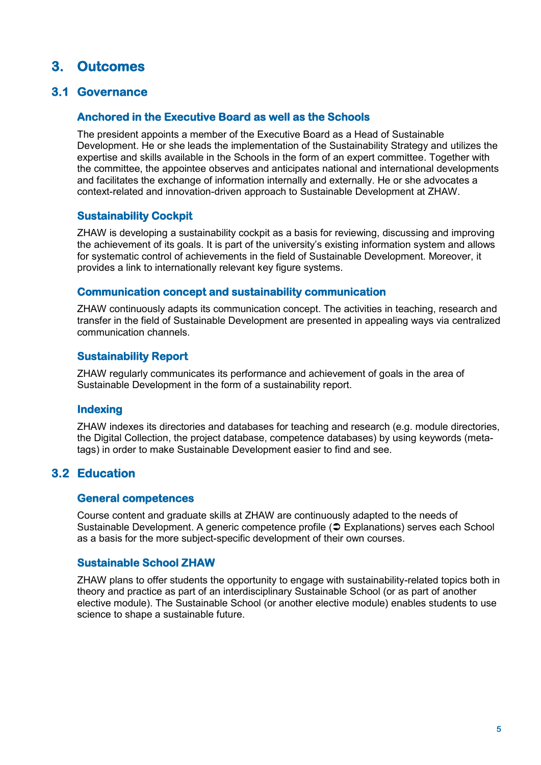# **3. Outcomes**

#### **3.1 Governance**

#### **Anchored in the Executive Board as well as the Schools**

The president appoints a member of the Executive Board as a Head of Sustainable Development. He or she leads the implementation of the Sustainability Strategy and utilizes the expertise and skills available in the Schools in the form of an expert committee. Together with the committee, the appointee observes and anticipates national and international developments and facilitates the exchange of information internally and externally. He or she advocates a context-related and innovation-driven approach to Sustainable Development at ZHAW.

#### **Sustainability Cockpit**

ZHAW is developing a sustainability cockpit as a basis for reviewing, discussing and improving the achievement of its goals. It is part of the university's existing information system and allows for systematic control of achievements in the field of Sustainable Development. Moreover, it provides a link to internationally relevant key figure systems.

#### **Communication concept and sustainability communication**

ZHAW continuously adapts its communication concept. The activities in teaching, research and transfer in the field of Sustainable Development are presented in appealing ways via centralized communication channels.

#### **Sustainability Report**

ZHAW regularly communicates its performance and achievement of goals in the area of Sustainable Development in the form of a sustainability report.

#### **Indexing**

ZHAW indexes its directories and databases for teaching and research (e.g. module directories, the Digital Collection, the project database, competence databases) by using keywords (metatags) in order to make Sustainable Development easier to find and see.

#### **3.2 Education**

#### **General competences**

Course content and graduate skills at ZHAW are continuously adapted to the needs of Sustainable Development. A generic competence profile ( $\supset \text{Explanations}$ ) serves each School as a basis for the more subject-specific development of their own courses.

#### **Sustainable School ZHAW**

ZHAW plans to offer students the opportunity to engage with sustainability-related topics both in theory and practice as part of an interdisciplinary Sustainable School (or as part of another elective module). The Sustainable School (or another elective module) enables students to use science to shape a sustainable future.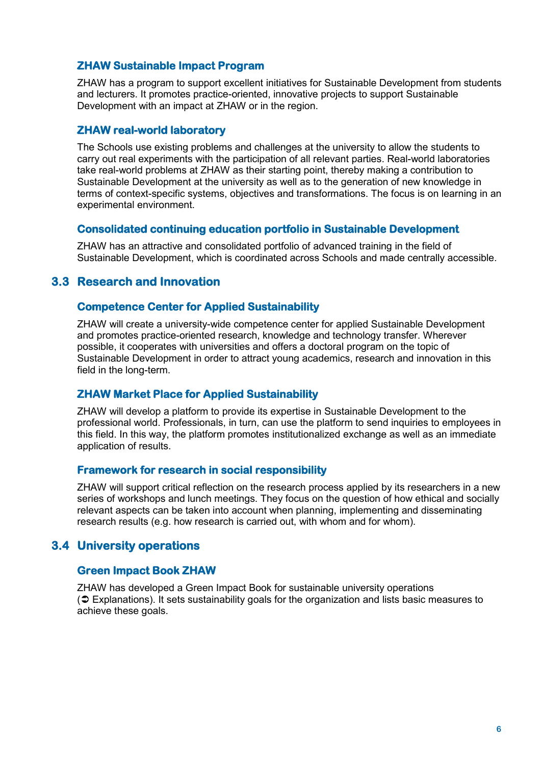#### **ZHAW Sustainable Impact Program**

ZHAW has a program to support excellent initiatives for Sustainable Development from students and lecturers. It promotes practice-oriented, innovative projects to support Sustainable Development with an impact at ZHAW or in the region.

#### **ZHAW real-world laboratory**

The Schools use existing problems and challenges at the university to allow the students to carry out real experiments with the participation of all relevant parties. Real-world laboratories take real-world problems at ZHAW as their starting point, thereby making a contribution to Sustainable Development at the university as well as to the generation of new knowledge in terms of context-specific systems, objectives and transformations. The focus is on learning in an experimental environment.

#### **Consolidated continuing education portfolio in Sustainable Development**

ZHAW has an attractive and consolidated portfolio of advanced training in the field of Sustainable Development, which is coordinated across Schools and made centrally accessible.

#### **3.3 Research and Innovation**

#### **Competence Center for Applied Sustainability**

ZHAW will create a university-wide competence center for applied Sustainable Development and promotes practice-oriented research, knowledge and technology transfer. Wherever possible, it cooperates with universities and offers a doctoral program on the topic of Sustainable Development in order to attract young academics, research and innovation in this field in the long-term.

#### **ZHAW Market Place for Applied Sustainability**

ZHAW will develop a platform to provide its expertise in Sustainable Development to the professional world. Professionals, in turn, can use the platform to send inquiries to employees in this field. In this way, the platform promotes institutionalized exchange as well as an immediate application of results.

#### **Framework for research in social responsibility**

ZHAW will support critical reflection on the research process applied by its researchers in a new series of workshops and lunch meetings. They focus on the question of how ethical and socially relevant aspects can be taken into account when planning, implementing and disseminating research results (e.g. how research is carried out, with whom and for whom).

#### **3.4 University operations**

#### **Green Impact Book ZHAW**

ZHAW has developed a Green Impact Book for sustainable university operations  $\circ$  [Explanations\)](#page-8-0). It sets sustainability goals for the organization and lists basic measures to achieve these goals.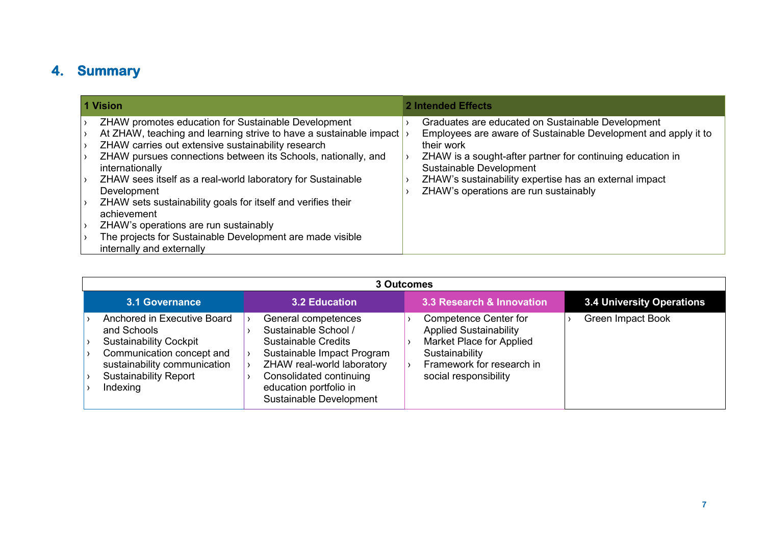# **4. Summary**

| 1 Vision                                                                                                                                                                                                                                                                                                                                                                                                                                                                                                                                                            | 2 Intended Effects                                                                                                                                                                                                                                                                                                            |  |
|---------------------------------------------------------------------------------------------------------------------------------------------------------------------------------------------------------------------------------------------------------------------------------------------------------------------------------------------------------------------------------------------------------------------------------------------------------------------------------------------------------------------------------------------------------------------|-------------------------------------------------------------------------------------------------------------------------------------------------------------------------------------------------------------------------------------------------------------------------------------------------------------------------------|--|
| ZHAW promotes education for Sustainable Development<br>At ZHAW, teaching and learning strive to have a sustainable impact<br>ZHAW carries out extensive sustainability research<br>ZHAW pursues connections between its Schools, nationally, and<br>internationally<br>ZHAW sees itself as a real-world laboratory for Sustainable<br>Development<br>ZHAW sets sustainability goals for itself and verifies their<br>achievement<br>ZHAW's operations are run sustainably<br>The projects for Sustainable Development are made visible<br>internally and externally | Graduates are educated on Sustainable Development<br>Employees are aware of Sustainable Development and apply it to<br>their work<br>ZHAW is a sought-after partner for continuing education in<br>Sustainable Development<br>ZHAW's sustainability expertise has an external impact<br>ZHAW's operations are run sustainably |  |

|                                                                                                                                                                                      |                                                                                                                                                                                                                       | 3 Outcomes                                                                                                                                                        |                           |
|--------------------------------------------------------------------------------------------------------------------------------------------------------------------------------------|-----------------------------------------------------------------------------------------------------------------------------------------------------------------------------------------------------------------------|-------------------------------------------------------------------------------------------------------------------------------------------------------------------|---------------------------|
| <b>3.1 Governance</b>                                                                                                                                                                | <b>3.2 Education</b>                                                                                                                                                                                                  | 3.3 Research & Innovation                                                                                                                                         | 3.4 University Operations |
| Anchored in Executive Board<br>and Schools<br><b>Sustainability Cockpit</b><br>Communication concept and<br>sustainability communication<br><b>Sustainability Report</b><br>Indexing | General competences<br>Sustainable School /<br><b>Sustainable Credits</b><br>Sustainable Impact Program<br>ZHAW real-world laboratory<br>Consolidated continuing<br>education portfolio in<br>Sustainable Development | <b>Competence Center for</b><br><b>Applied Sustainability</b><br>Market Place for Applied<br>Sustainability<br>Framework for research in<br>social responsibility | <b>Green Impact Book</b>  |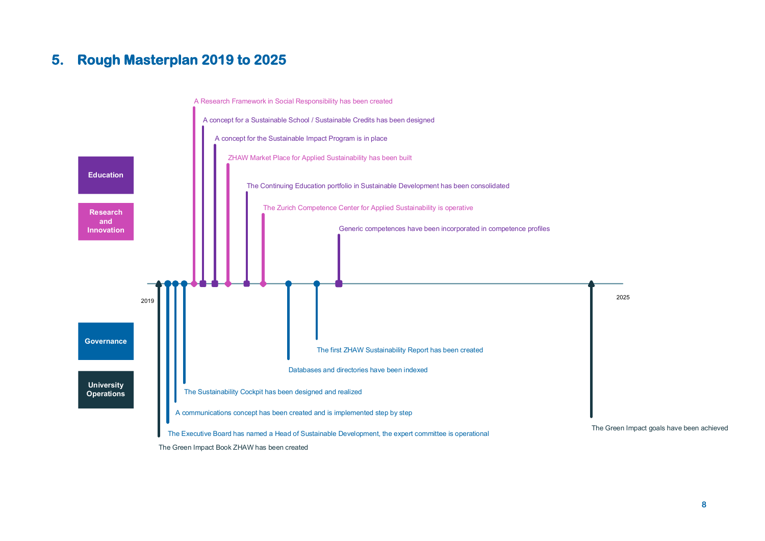# **5. Rough Masterplan 2019 to 2025**

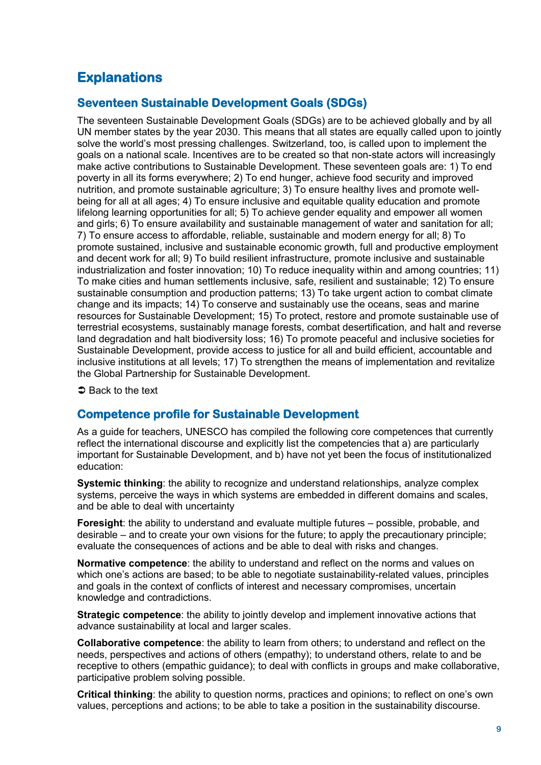# <span id="page-8-0"></span>**Explanations**

#### **Seventeen Sustainable Development Goals (SDGs)**

The seventeen Sustainable Development Goals (SDGs) are to be achieved globally and by all UN member states by the year 2030. This means that all states are equally called upon to jointly solve the world's most pressing challenges. Switzerland, too, is called upon to implement the goals on a national scale. Incentives are to be created so that non-state actors will increasingly make active contributions to Sustainable Development. These seventeen goals are: 1) To end poverty in all its forms everywhere; 2) To end hunger, achieve food security and improved nutrition, and promote sustainable agriculture; 3) To ensure healthy lives and promote wellbeing for all at all ages; 4) To ensure inclusive and equitable quality education and promote lifelong learning opportunities for all; 5) To achieve gender equality and empower all women and girls; 6) To ensure availability and sustainable management of water and sanitation for all; 7) To ensure access to affordable, reliable, sustainable and modern energy for all; 8) To promote sustained, inclusive and sustainable economic growth, full and productive employment and decent work for all; 9) To build resilient infrastructure, promote inclusive and sustainable industrialization and foster innovation; 10) To reduce inequality within and among countries; 11) To make cities and human settlements inclusive, safe, resilient and sustainable; 12) To ensure sustainable consumption and production patterns; 13) To take urgent action to combat climate change and its impacts; 14) To conserve and sustainably use the oceans, seas and marine resources for Sustainable Development; 15) To protect, restore and promote sustainable use of terrestrial ecosystems, sustainably manage forests, combat desertification, and halt and reverse land degradation and halt biodiversity loss; 16) To promote peaceful and inclusive societies for Sustainable Development, provide access to justice for all and build efficient, accountable and inclusive institutions at all levels; 17) To strengthen the means of implementation and revitalize the Global Partnership for Sustainable Development.

 $\Rightarrow$  Back to the text

#### **Competence profile for Sustainable Development**

As a guide for teachers, UNESCO has compiled the following core competences that currently reflect the international discourse and explicitly list the competencies that a) are particularly important for Sustainable Development, and b) have not yet been the focus of institutionalized education:

**Systemic thinking**: the ability to recognize and understand relationships, analyze complex systems, perceive the ways in which systems are embedded in different domains and scales, and be able to deal with uncertainty

**Foresight**: the ability to understand and evaluate multiple futures – possible, probable, and desirable – and to create your own visions for the future; to apply the precautionary principle; evaluate the consequences of actions and be able to deal with risks and changes.

**Normative competence**: the ability to understand and reflect on the norms and values on which one's actions are based; to be able to negotiate sustainability-related values, principles and goals in the context of conflicts of interest and necessary compromises, uncertain knowledge and contradictions.

**Strategic competence**: the ability to jointly develop and implement innovative actions that advance sustainability at local and larger scales.

**Collaborative competence**: the ability to learn from others; to understand and reflect on the needs, perspectives and actions of others (empathy); to understand others, relate to and be receptive to others (empathic guidance); to deal with conflicts in groups and make collaborative, participative problem solving possible.

**Critical thinking**: the ability to question norms, practices and opinions; to reflect on one's own values, perceptions and actions; to be able to take a position in the sustainability discourse.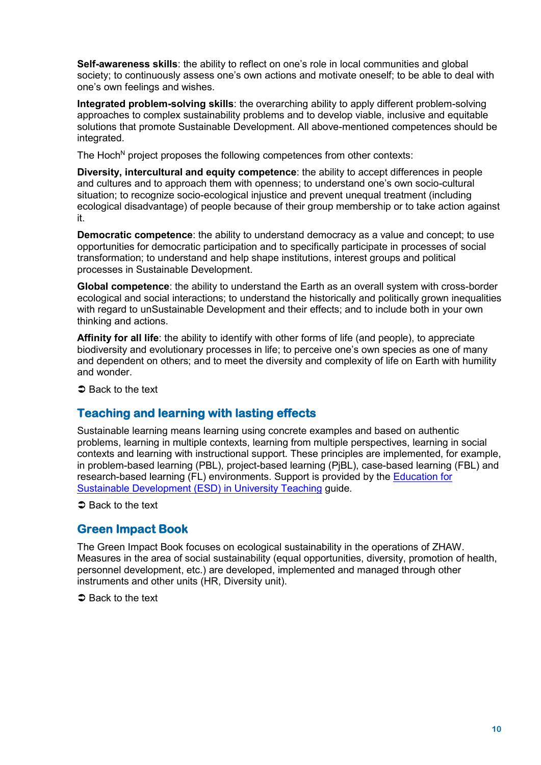**Self-awareness skills**: the ability to reflect on one's role in local communities and global society; to continuously assess one's own actions and motivate oneself; to be able to deal with one's own feelings and wishes.

**Integrated problem-solving skills**: the overarching ability to apply different problem-solving approaches to complex sustainability problems and to develop viable, inclusive and equitable solutions that promote Sustainable Development. All above-mentioned competences should be integrated.

The Hoch<sup>N</sup> project proposes the following competences from other contexts:

**Diversity, intercultural and equity competence**: the ability to accept differences in people and cultures and to approach them with openness; to understand one's own socio-cultural situation; to recognize socio-ecological injustice and prevent unequal treatment (including ecological disadvantage) of people because of their group membership or to take action against it.

**Democratic competence**: the ability to understand democracy as a value and concept; to use opportunities for democratic participation and to specifically participate in processes of social transformation; to understand and help shape institutions, interest groups and political processes in Sustainable Development.

**Global competence**: the ability to understand the Earth as an overall system with cross-border ecological and social interactions; to understand the historically and politically grown inequalities with regard to unSustainable Development and their effects; and to include both in your own thinking and actions.

**Affinity for all life**: the ability to identify with other forms of life (and people), to appreciate biodiversity and evolutionary processes in life; to perceive one's own species as one of many and dependent on others; and to meet the diversity and complexity of life on Earth with humility and wonder.

 $\supset$  Back to the text

#### **Teaching and learning with lasting effects**

Sustainable learning means learning using concrete examples and based on authentic problems, learning in multiple contexts, learning from multiple perspectives, learning in social contexts and learning with instructional support. These principles are implemented, for example, in problem-based learning (PBL), project-based learning (PjBL), case-based learning (FBL) and research-based learning (FL) environments. Support is provided by the [Education for](https://www.hochn.uni-hamburg.de/-downloads/handlungsfelder/lehre/hoch-n-leitfaden-bne-in-der-hochschullehre.pdf)  [Sustainable Development \(ESD\) in University Teaching](https://www.hochn.uni-hamburg.de/-downloads/handlungsfelder/lehre/hoch-n-leitfaden-bne-in-der-hochschullehre.pdf) guide.

**■** Back to the text

#### **Green Impact Book**

The Green Impact Book focuses on ecological sustainability in the operations of ZHAW. Measures in the area of social sustainability (equal opportunities, diversity, promotion of health, personnel development, etc.) are developed, implemented and managed through other instruments and other units (HR, Diversity unit).

 $\Rightarrow$  Back to the text